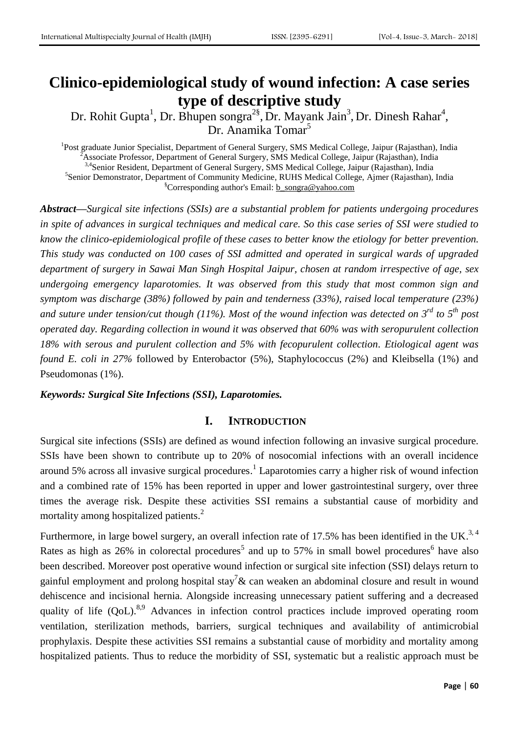# **Clinico-epidemiological study of wound infection: A case series type of descriptive study**

Dr. Rohit Gupta<sup>1</sup>, Dr. Bhupen songra<sup>2§</sup>, Dr. Mayank Jain<sup>3</sup>, Dr. Dinesh Rahar<sup>4</sup>, Dr. Anamika Tomar<sup>5</sup>

<sup>1</sup>Post graduate Junior Specialist, Department of General Surgery, SMS Medical College, Jaipur (Rajasthan), India <sup>2</sup>Associate Professor, Department of General Surgery, SMS Medical College, Jaipur (Rajasthan), India <sup>3,4</sup>Senior Resident, Department of General Surgery, SMS Medical College, Jaipur (Rajasthan), India <sup>5</sup>Senior Demonstrator, Department of Community Medicine, RUHS Medical College, Ajmer (Rajasthan), India §Corresponding author's Email: [b\\_songra@yahoo.com](mailto:b_songra@yahoo.com)

*Abstract—Surgical site infections (SSIs) are a substantial problem for patients undergoing procedures in spite of advances in surgical techniques and medical care. So this case series of SSI were studied to know the clinico-epidemiological profile of these cases to better know the etiology for better prevention. This study was conducted on 100 cases of SSI admitted and operated in surgical wards of upgraded department of surgery in Sawai Man Singh Hospital Jaipur, chosen at random irrespective of age, sex undergoing emergency laparotomies. It was observed from this study that most common sign and symptom was discharge (38%) followed by pain and tenderness (33%), raised local temperature (23%) and suture under tension/cut though (11%). Most of the wound infection was detected on 3rd to 5th post operated day. Regarding collection in wound it was observed that 60% was with seropurulent collection 18% with serous and purulent collection and 5% with fecopurulent collection. Etiological agent was found E. coli in 27%* followed by Enterobactor (5%), Staphylococcus (2%) and Kleibsella (1%) and Pseudomonas (1%).

#### *Keywords: Surgical Site Infections (SSI), Laparotomies.*

#### **I. INTRODUCTION**

Surgical site infections (SSIs) are defined as wound infection following an invasive surgical procedure. SSIs have been shown to contribute up to 20% of nosocomial infections with an overall incidence around 5% across all invasive surgical procedures. 1 Laparotomies carry a higher risk of wound infection and a combined rate of 15% has been reported in upper and lower gastrointestinal surgery, over three times the average risk. Despite these activities SSI remains a substantial cause of morbidity and mortality among hospitalized patients.<sup>2</sup>

Furthermore, in large bowel surgery, an overall infection rate of 17.5% has been identified in the UK.<sup>3, 4</sup> Rates as high as 26% in colorectal procedures<sup>5</sup> and up to 57% in small bowel procedures<sup>6</sup> have also been described. Moreover post operative wound infection or surgical site infection (SSI) delays return to gainful employment and prolong hospital stay<sup>7</sup>& can weaken an abdominal closure and result in wound dehiscence and incisional hernia. Alongside increasing unnecessary patient suffering and a decreased quality of life (QoL).<sup>8,9</sup> Advances in infection control practices include improved operating room ventilation, sterilization methods, barriers, surgical techniques and availability of antimicrobial prophylaxis. Despite these activities SSI remains a substantial cause of morbidity and mortality among hospitalized patients. Thus to reduce the morbidity of SSI, systematic but a realistic approach must be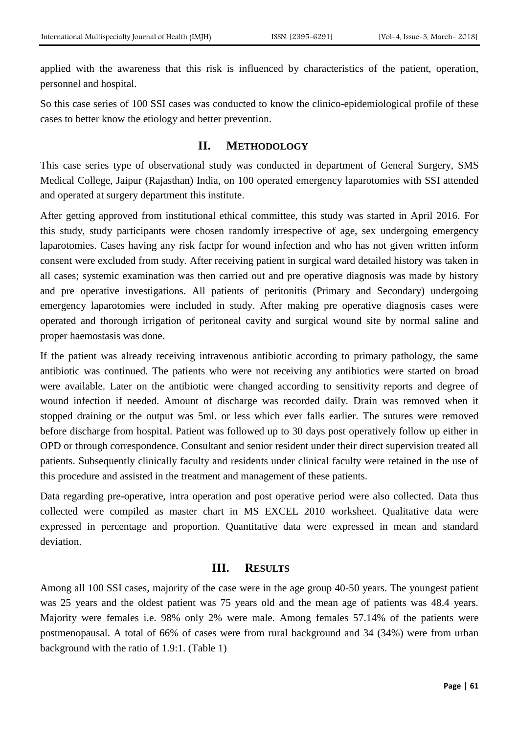applied with the awareness that this risk is influenced by characteristics of the patient, operation, personnel and hospital.

So this case series of 100 SSI cases was conducted to know the clinico-epidemiological profile of these cases to better know the etiology and better prevention.

## **II. METHODOLOGY**

This case series type of observational study was conducted in department of General Surgery, SMS Medical College, Jaipur (Rajasthan) India, on 100 operated emergency laparotomies with SSI attended and operated at surgery department this institute.

After getting approved from institutional ethical committee, this study was started in April 2016. For this study, study participants were chosen randomly irrespective of age, sex undergoing emergency laparotomies. Cases having any risk factpr for wound infection and who has not given written inform consent were excluded from study. After receiving patient in surgical ward detailed history was taken in all cases; systemic examination was then carried out and pre operative diagnosis was made by history and pre operative investigations. All patients of peritonitis (Primary and Secondary) undergoing emergency laparotomies were included in study. After making pre operative diagnosis cases were operated and thorough irrigation of peritoneal cavity and surgical wound site by normal saline and proper haemostasis was done.

If the patient was already receiving intravenous antibiotic according to primary pathology, the same antibiotic was continued. The patients who were not receiving any antibiotics were started on broad were available. Later on the antibiotic were changed according to sensitivity reports and degree of wound infection if needed. Amount of discharge was recorded daily. Drain was removed when it stopped draining or the output was 5ml. or less which ever falls earlier. The sutures were removed before discharge from hospital. Patient was followed up to 30 days post operatively follow up either in OPD or through correspondence. Consultant and senior resident under their direct supervision treated all patients. Subsequently clinically faculty and residents under clinical faculty were retained in the use of this procedure and assisted in the treatment and management of these patients.

Data regarding pre-operative, intra operation and post operative period were also collected. Data thus collected were compiled as master chart in MS EXCEL 2010 worksheet. Qualitative data were expressed in percentage and proportion. Quantitative data were expressed in mean and standard deviation.

## **III. RESULTS**

Among all 100 SSI cases, majority of the case were in the age group 40-50 years. The youngest patient was 25 years and the oldest patient was 75 years old and the mean age of patients was 48.4 years. Majority were females i.e. 98% only 2% were male. Among females 57.14% of the patients were postmenopausal. A total of 66% of cases were from rural background and 34 (34%) were from urban background with the ratio of 1.9:1. (Table 1)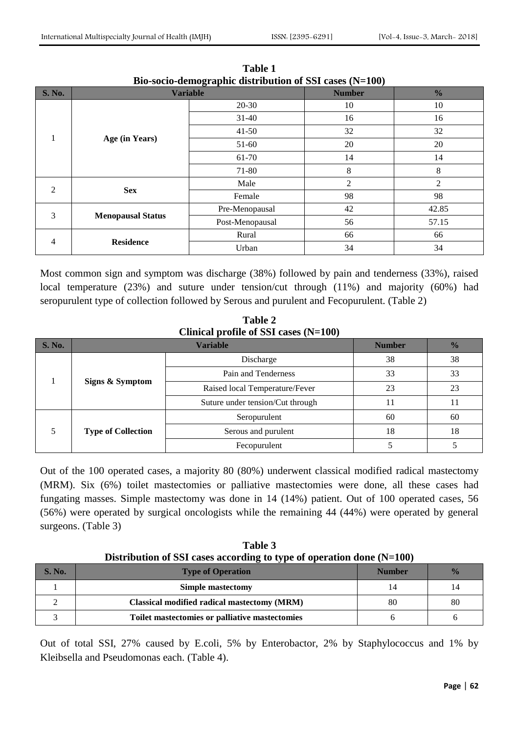| <b>S. No.</b>  | $\overline{\phantom{a}}$<br>---<br><b>Variable</b> |                 | $\sim$<br><b>Number</b> | $\frac{0}{0}$  |
|----------------|----------------------------------------------------|-----------------|-------------------------|----------------|
|                | Age (in Years)                                     | $20 - 30$       | 10                      | 10             |
|                |                                                    | $31 - 40$       | 16                      | 16             |
|                |                                                    | $41 - 50$       | 32                      | 32             |
|                |                                                    | 51-60           | 20                      | 20             |
|                |                                                    | 61-70           | 14                      | 14             |
|                |                                                    | 71-80           | 8                       | 8              |
| $\overline{2}$ | <b>Sex</b>                                         | Male            | $\overline{2}$          | $\overline{2}$ |
|                |                                                    | Female          | 98                      | 98             |
| 3              | <b>Menopausal Status</b>                           | Pre-Menopausal  | 42                      | 42.85          |
|                |                                                    | Post-Menopausal | 56                      | 57.15          |
| 4              | <b>Residence</b>                                   | Rural           | 66                      | 66             |
|                |                                                    | Urban           | 34                      | 34             |

**Table 1 Bio-socio-demographic distribution of SSI cases (N=100)**

Most common sign and symptom was discharge (38%) followed by pain and tenderness (33%), raised local temperature (23%) and suture under tension/cut through (11%) and majority (60%) had seropurulent type of collection followed by Serous and purulent and Fecopurulent. (Table 2)

**Table 2 Clinical profile of SSI cases (N=100)**

| <b>S. No.</b> |                           | <b>Number</b>                    | $\frac{0}{0}$ |    |
|---------------|---------------------------|----------------------------------|---------------|----|
|               | Signs & Symptom           | Discharge                        | 38            | 38 |
|               |                           | Pain and Tenderness              | 33            | 33 |
|               |                           | Raised local Temperature/Fever   | 23            | 23 |
|               |                           | Suture under tension/Cut through |               |    |
|               | <b>Type of Collection</b> | Seropurulent                     | 60            | 60 |
|               |                           | Serous and purulent              | 18            | 18 |
|               |                           | Fecopurulent                     |               |    |

Out of the 100 operated cases, a majority 80 (80%) underwent classical modified radical mastectomy (MRM). Six (6%) toilet mastectomies or palliative mastectomies were done, all these cases had fungating masses. Simple mastectomy was done in 14 (14%) patient. Out of 100 operated cases, 56 (56%) were operated by surgical oncologists while the remaining 44 (44%) were operated by general surgeons. (Table 3)

**Table 3 Distribution of SSI cases according to type of operation done (N=100)**

| <b>S. No.</b> | <b>Type of Operation</b>                       | <b>Number</b> | $\frac{1}{2}$ |
|---------------|------------------------------------------------|---------------|---------------|
|               | Simple mastectomy                              | 14            | 14            |
|               | Classical modified radical mastectomy (MRM)    | 80            | 80            |
|               | Toilet mastectomies or palliative mastectomies |               |               |

Out of total SSI, 27% caused by E.coli, 5% by Enterobactor, 2% by Staphylococcus and 1% by Kleibsella and Pseudomonas each. (Table 4).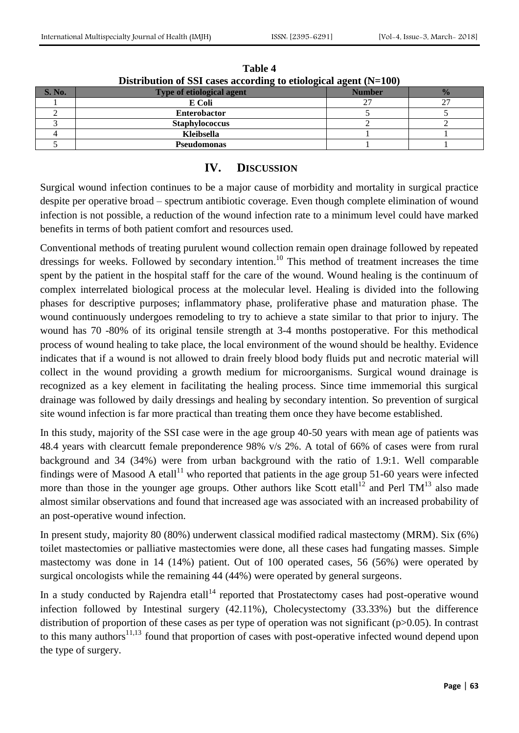| Distribution of SSI cases according to etiological agent $(N=100)$ |                                  |               |               |  |
|--------------------------------------------------------------------|----------------------------------|---------------|---------------|--|
| <b>S. No.</b>                                                      | <b>Type of etiological agent</b> | <b>Number</b> | $\frac{0}{0}$ |  |
|                                                                    | E Coli                           |               | $\sim$        |  |
|                                                                    | <b>Enterobactor</b>              |               |               |  |
|                                                                    | <b>Staphylococcus</b>            |               |               |  |
|                                                                    | Kleibsella                       |               |               |  |
|                                                                    | <b>Pseudomonas</b>               |               |               |  |

**Table 4**

# **IV. DISCUSSION**

Surgical wound infection continues to be a major cause of morbidity and mortality in surgical practice despite per operative broad – spectrum antibiotic coverage. Even though complete elimination of wound infection is not possible, a reduction of the wound infection rate to a minimum level could have marked benefits in terms of both patient comfort and resources used.

Conventional methods of treating purulent wound collection remain open drainage followed by repeated dressings for weeks. Followed by secondary intention.<sup>10</sup> This method of treatment increases the time spent by the patient in the hospital staff for the care of the wound. Wound healing is the continuum of complex interrelated biological process at the molecular level. Healing is divided into the following phases for descriptive purposes; inflammatory phase, proliferative phase and maturation phase. The wound continuously undergoes remodeling to try to achieve a state similar to that prior to injury. The wound has 70 -80% of its original tensile strength at 3-4 months postoperative. For this methodical process of wound healing to take place, the local environment of the wound should be healthy. Evidence indicates that if a wound is not allowed to drain freely blood body fluids put and necrotic material will collect in the wound providing a growth medium for microorganisms. Surgical wound drainage is recognized as a key element in facilitating the healing process. Since time immemorial this surgical drainage was followed by daily dressings and healing by secondary intention. So prevention of surgical site wound infection is far more practical than treating them once they have become established.

In this study, majority of the SSI case were in the age group 40-50 years with mean age of patients was 48.4 years with clearcutt female preponderence 98% v/s 2%. A total of 66% of cases were from rural background and 34 (34%) were from urban background with the ratio of 1.9:1. Well comparable findings were of Masood A etall<sup>11</sup> who reported that patients in the age group 51-60 years were infected more than those in the younger age groups. Other authors like Scott etall<sup>12</sup> and Perl  $TM<sup>13</sup>$  also made almost similar observations and found that increased age was associated with an increased probability of an post-operative wound infection.

In present study, majority 80 (80%) underwent classical modified radical mastectomy (MRM). Six (6%) toilet mastectomies or palliative mastectomies were done, all these cases had fungating masses. Simple mastectomy was done in 14 (14%) patient. Out of 100 operated cases, 56 (56%) were operated by surgical oncologists while the remaining 44 (44%) were operated by general surgeons.

In a study conducted by Rajendra etall<sup>14</sup> reported that Prostatectomy cases had post-operative wound infection followed by Intestinal surgery (42.11%), Cholecystectomy (33.33%) but the difference distribution of proportion of these cases as per type of operation was not significant (p>0.05). In contrast to this many authors<sup>11,13</sup> found that proportion of cases with post-operative infected wound depend upon the type of surgery.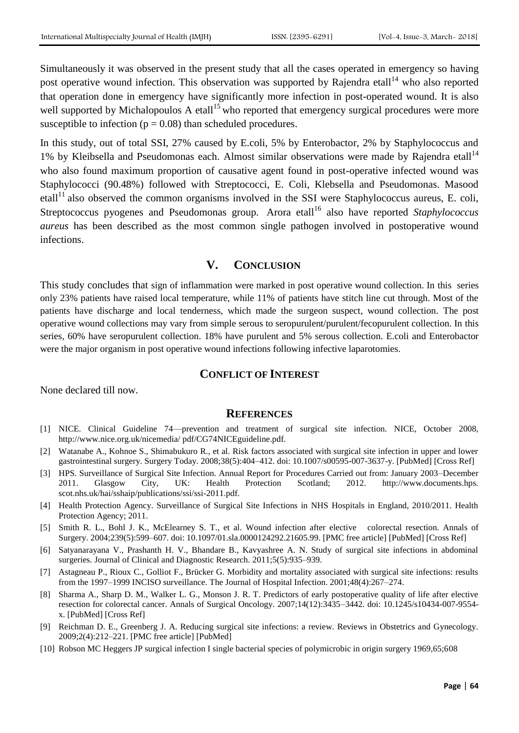Simultaneously it was observed in the present study that all the cases operated in emergency so having post operative wound infection. This observation was supported by Rajendra etall<sup>14</sup> who also reported that operation done in emergency have significantly more infection in post-operated wound. It is also well supported by Michalopoulos A etall<sup>15</sup> who reported that emergency surgical procedures were more susceptible to infection ( $p = 0.08$ ) than scheduled procedures.

In this study, out of total SSI, 27% caused by E.coli, 5% by Enterobactor, 2% by Staphylococcus and 1% by Kleibsella and Pseudomonas each. Almost similar observations were made by Rajendra etall<sup>14</sup> who also found maximum proportion of causative agent found in post-operative infected wound was Staphylococci (90.48%) followed with Streptococci, E. Coli, Klebsella and Pseudomonas. Masood etall<sup>11</sup> also observed the common organisms involved in the SSI were Staphylococcus aureus, E. coli, Streptococcus pyogenes and Pseudomonas group. Arora etall<sup>16</sup> also have reported Staphylococcus *aureus* has been described as the most common single pathogen involved in postoperative wound infections.

## **V. CONCLUSION**

This study concludes that sign of inflammation were marked in post operative wound collection. In this series only 23% patients have raised local temperature, while 11% of patients have stitch line cut through. Most of the patients have discharge and local tenderness, which made the surgeon suspect, wound collection. The post operative wound collections may vary from simple serous to seropurulent/purulent/fecopurulent collection. In this series, 60% have seropurulent collection. 18% have purulent and 5% serous collection. E.coli and Enterobactor were the major organism in post operative wound infections following infective laparotomies.

#### **CONFLICT OF INTEREST**

None declared till now.

#### **REFERENCES**

- [1] NICE. Clinical Guideline 74—prevention and treatment of surgical site infection. NICE, October 2008, http://www.nice.org.uk/nicemedia/ pdf/CG74NICEguideline.pdf.
- [2] Watanabe A., Kohnoe S., Shimabukuro R., et al. Risk factors associated with surgical site infection in upper and lower gastrointestinal surgery. Surgery Today. 2008;38(5):404–412. doi: 10.1007/s00595-007-3637-y. [PubMed] [Cross Ref]
- [3] HPS. Surveillance of Surgical Site Infection. Annual Report for Procedures Carried out from: January 2003–December 2011. Glasgow City, UK: Health Protection Scotland; 2012. http://www.documents.hps. scot.nhs.uk/hai/sshaip/publications/ssi/ssi-2011.pdf.
- [4] Health Protection Agency. Surveillance of Surgical Site Infections in NHS Hospitals in England, 2010/2011. Health Protection Agency; 2011.
- [5] Smith R. L., Bohl J. K., McElearney S. T., et al. Wound infection after elective colorectal resection. Annals of Surgery. 2004;239(5):599–607. doi: 10.1097/01.sla.0000124292.21605.99. [PMC free article] [PubMed] [Cross Ref]
- [6] Satyanarayana V., Prashanth H. V., Bhandare B., Kavyashree A. N. Study of surgical site infections in abdominal surgeries. Journal of Clinical and Diagnostic Research. 2011;5(5):935–939.
- [7] Astagneau P., Rioux C., Golliot F., Brücker G. Morbidity and mortality associated with surgical site infections: results from the 1997–1999 INCISO surveillance. The Journal of Hospital Infection. 2001;48(4):267–274.
- [8] Sharma A., Sharp D. M., Walker L. G., Monson J. R. T. Predictors of early postoperative quality of life after elective resection for colorectal cancer. Annals of Surgical Oncology. 2007;14(12):3435–3442. doi: 10.1245/s10434-007-9554 x. [PubMed] [Cross Ref]
- [9] Reichman D. E., Greenberg J. A. Reducing surgical site infections: a review. Reviews in Obstetrics and Gynecology. 2009;2(4):212–221. [PMC free article] [PubMed]
- [10] Robson MC Heggers JP surgical infection I single bacterial species of polymicrobic in origin surgery 1969,65;608